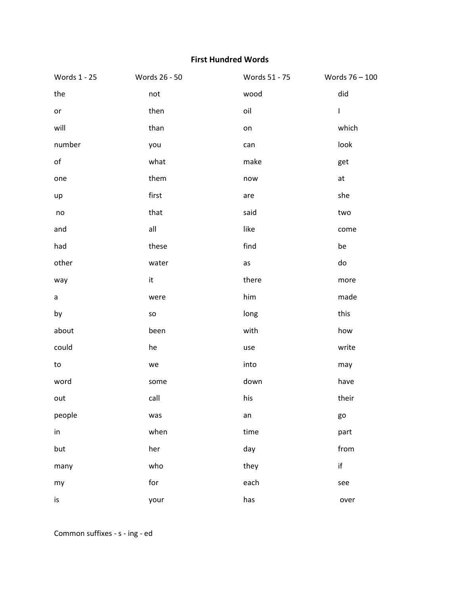## **First Hundred Words**

| Words 1 - 25  | Words 26 - 50 | Words 51 - 75 | Words 76 - 100 |
|---------------|---------------|---------------|----------------|
| the           | not           | wood          | did            |
| or            | then          | oil           | $\mathsf{I}$   |
| will          | than          | on            | which          |
| number        | you           | can           | look           |
| $\mathsf{of}$ | what          | make          | get            |
| one           | them          | now           | at             |
| up            | first         | are           | she            |
| no            | that          | said          | two            |
| and           | all           | like          | come           |
| had           | these         | find          | be             |
| other         | water         | as            | do             |
| way           | it            | there         | more           |
| a             | were          | him           | made           |
| by            | SO            | long          | this           |
| about         | been          | with          | how            |
| could         | he            | use           | write          |
| to            | we            | into          | may            |
| word          | some          | down          | have           |
| out           | call          | his           | their          |
| people        | was           | an            | go             |
| in            | when          | time          | part           |
| but           | her           | day           | from           |
| many          | who           | they          | $\sf if$       |
| my            | for           | each          | see            |
| is            | your          | has           | over           |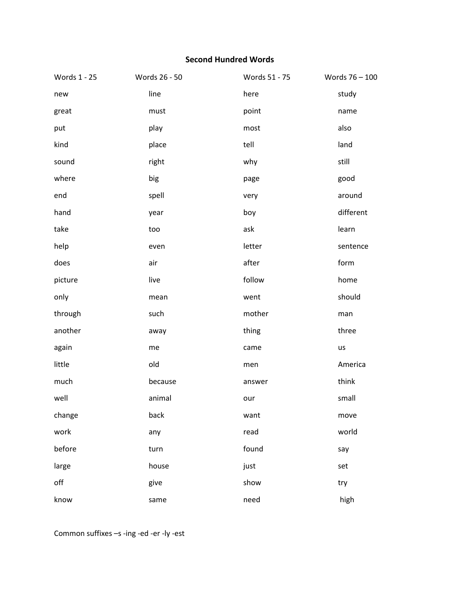## **Second Hundred Words**

| Words 1 - 25 | Words 26 - 50 | Words 51 - 75 | Words 76 - 100 |
|--------------|---------------|---------------|----------------|
| new          | line          | here          | study          |
| great        | must          | point         | name           |
| put          | play          | most          | also           |
| kind         | place         | tell          | land           |
| sound        | right         | why           | still          |
| where        | big           | page          | good           |
| end          | spell         | very          | around         |
| hand         | year          | boy           | different      |
| take         | too           | ask           | learn          |
| help         | even          | letter        | sentence       |
| does         | air           | after         | form           |
| picture      | live          | follow        | home           |
| only         | mean          | went          | should         |
| through      | such          | mother        | man            |
| another      | away          | thing         | three          |
| again        | me            | came          | us             |
| little       | old           | men           | America        |
| much         | because       | answer        | think          |
| well         | animal        | our           | small          |
| change       | back          | want          | move           |
| work         | any           | read          | world          |
| before       | turn          | found         | say            |
| large        | house         | just          | set            |
| off          | give          | show          | try            |
| know         | same          | need          | high           |